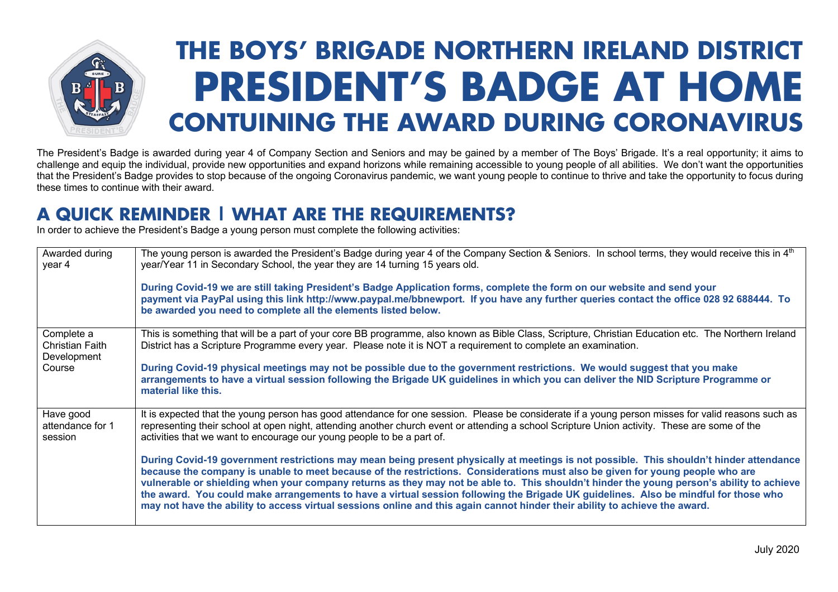

## **THE BOYSÊ BRIGADE NORTHERN IRELAND DISTRICT PRESIDENT'S BADGE AT HOME CONTUINING THE AWARD DURING CORONAVIRUS**

The President's Badge is awarded during year 4 of Company Section and Seniors and may be gained by a member of The Boys' Brigade. It's a real opportunity; it aims to challenge and equip the individual, provide new opportunities and expand horizons while remaining accessible to young people of all abilities. We don't want the opportunities that the President's Badge provides to stop because of the ongoing Coronavirus pandemic, we want young people to continue to thrive and take the opportunity to focus during these times to continue with their award.

## **A QUICK REMINDER | WHAT ARE THE REQUIREMENTS?**

In order to achieve the President's Badge a young person must complete the following activities:

| Awarded during<br>year 4                            | The young person is awarded the President's Badge during year 4 of the Company Section & Seniors. In school terms, they would receive this in 4 <sup>th</sup><br>year/Year 11 in Secondary School, the year they are 14 turning 15 years old.<br>During Covid-19 we are still taking President's Badge Application forms, complete the form on our website and send your<br>payment via PayPal using this link http://www.paypal.me/bbnewport. If you have any further queries contact the office 028 92 688444. To<br>be awarded you need to complete all the elements listed below.                                                                                                       |
|-----------------------------------------------------|---------------------------------------------------------------------------------------------------------------------------------------------------------------------------------------------------------------------------------------------------------------------------------------------------------------------------------------------------------------------------------------------------------------------------------------------------------------------------------------------------------------------------------------------------------------------------------------------------------------------------------------------------------------------------------------------|
| Complete a<br><b>Christian Faith</b><br>Development | This is something that will be a part of your core BB programme, also known as Bible Class, Scripture, Christian Education etc. The Northern Ireland<br>District has a Scripture Programme every year. Please note it is NOT a requirement to complete an examination.                                                                                                                                                                                                                                                                                                                                                                                                                      |
| Course                                              | During Covid-19 physical meetings may not be possible due to the government restrictions. We would suggest that you make<br>arrangements to have a virtual session following the Brigade UK guidelines in which you can deliver the NID Scripture Programme or<br>material like this.                                                                                                                                                                                                                                                                                                                                                                                                       |
| Have good<br>attendance for 1<br>session            | It is expected that the young person has good attendance for one session. Please be considerate if a young person misses for valid reasons such as<br>representing their school at open night, attending another church event or attending a school Scripture Union activity. These are some of the<br>activities that we want to encourage our young people to be a part of.                                                                                                                                                                                                                                                                                                               |
|                                                     | During Covid-19 government restrictions may mean being present physically at meetings is not possible. This shouldn't hinder attendance<br>because the company is unable to meet because of the restrictions. Considerations must also be given for young people who are<br>vulnerable or shielding when your company returns as they may not be able to. This shouldn't hinder the young person's ability to achieve<br>the award. You could make arrangements to have a virtual session following the Brigade UK guidelines. Also be mindful for those who<br>may not have the ability to access virtual sessions online and this again cannot hinder their ability to achieve the award. |